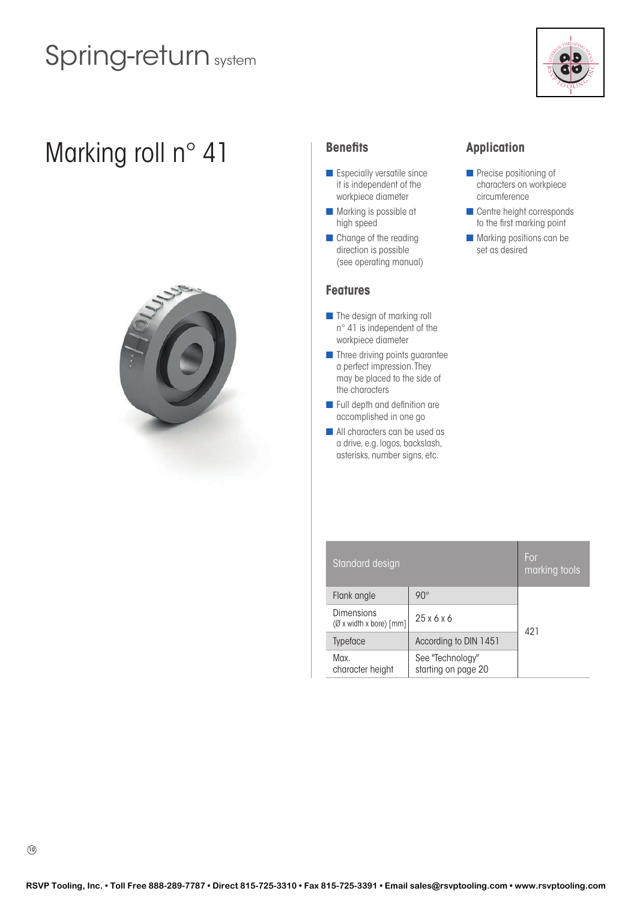

# Marking roll n° 41 **Benefits**



- $\blacksquare$  Especially versatile since it is independent of the workpiece diameter
- $\blacksquare$  Marking is possible at high speed
- **n** Change of the reading direction is possible (see operating manual)

### **Features**

- $\blacksquare$  The design of marking roll n° 41 is independent of the workpiece diameter
- **n** Three driving points guarantee a perfect impression. They may be placed to the side of the characters
- $\blacksquare$  Full depth and definition are accomplished in one go
- **n** All characters can be used as a drive, e.g. logos, backslash, asterisks, number signs, etc.

## **Application**

- $\blacksquare$  Precise positioning of characters on workpiece circumference
- **n** Centre height corresponds to the first marking point
- **n** Marking positions can be set as desired

| Standard design                                        |                                         |     |  |  |
|--------------------------------------------------------|-----------------------------------------|-----|--|--|
| Flank angle                                            | $90^\circ$                              |     |  |  |
| <b>Dimensions</b><br>$(\emptyset$ x width x bore) [mm] | 25x6x6                                  | 421 |  |  |
| <b>Typeface</b>                                        | According to DIN 1451                   |     |  |  |
| Max.<br>character height                               | See "Technology"<br>starting on page 20 |     |  |  |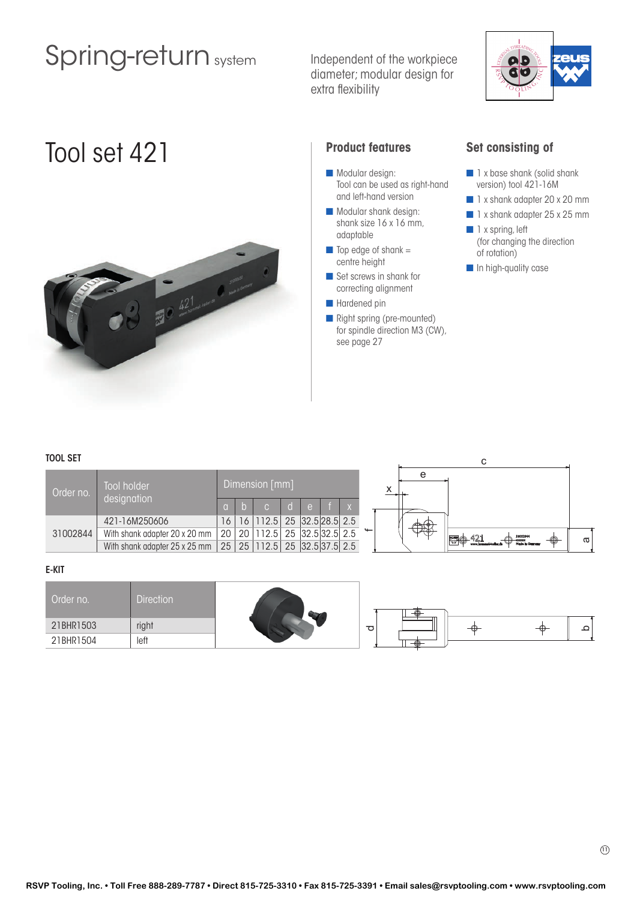Independent of the workpiece diameter; modular design for extra flexibility



# Tool set 421 **Product features**



- Modular design: Tool can be used as right-hand and left-hand version
- $\blacksquare$  Modular shank design: shank size 16 x 16 mm, adaptable
- $\blacksquare$  Top edge of shank = centre height
- Set screws in shank for correcting alignment
- Hardened pin
- **n** Right spring (pre-mounted) for spindle direction M3 (CW), see page 27

### **Set consisting of**

- n 1 x base shank (solid shank version) tool 421-16M
- 1 x shank adapter 20 x 20 mm
- 1 x shank adapter 25 x 25 mm
- $\blacksquare$  1 x spring, left (for changing the direction of rotation)
- **n** In high-quality case

### TOOL SET

| <b>TOOL SET</b> |                                                                          |                 |                |                                     |                    |    |
|-----------------|--------------------------------------------------------------------------|-----------------|----------------|-------------------------------------|--------------------|----|
| Order no.       | Tool holder                                                              |                 | Dimension [mm] |                                     | e                  |    |
|                 | designation                                                              |                 |                | <b>Text</b>                         |                    |    |
|                 | 421-16M250606                                                            | 16 <sup>1</sup> |                | 16   112.5   25   32.5   28.5   2.5 | $\mathbb{N}(\Phi)$ |    |
| 31002844        | With shank adapter 20 x 20 mm   20   20   112.5   25   32.5   32.5   2.5 |                 |                |                                     | 46)<br>31002844    |    |
|                 | With shank adapter 25 x 25 mm   25   25   112.5   25   32.5   37.5   2.5 |                 |                |                                     |                    | ᡕᢐ |

### E-KIT

| Order no. | <b>Direction</b> |      |    |   |
|-----------|------------------|------|----|---|
| 21BHR1503 | right            | P    | ╼₩ | ○ |
| 21BHR1504 | left             | - 44 |    |   |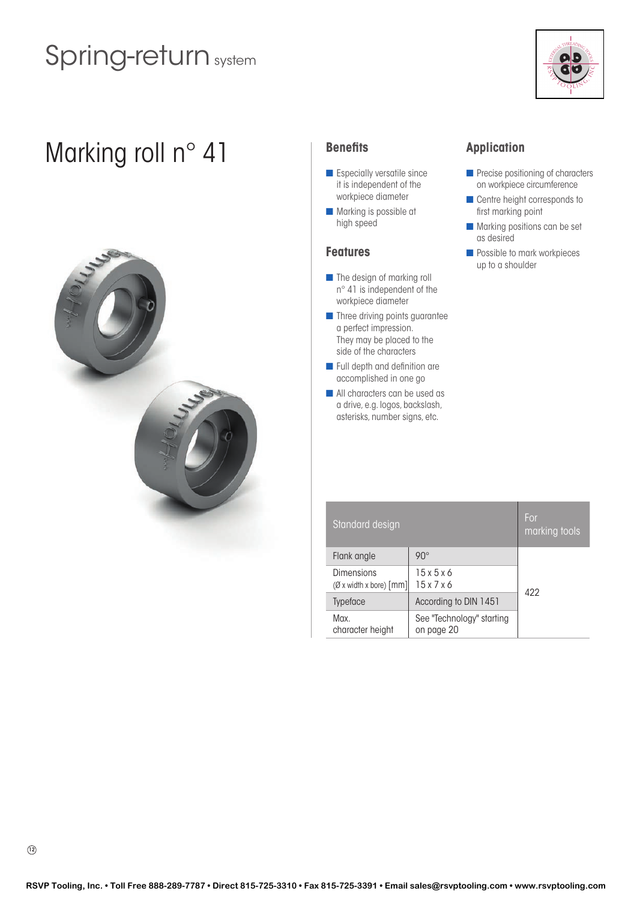

# Marking roll n° 41 **Benefits**



- $\blacksquare$  Especially versatile since it is independent of the workpiece diameter
- $\blacksquare$  Marking is possible at high speed

## **Features**

- $\blacksquare$  The design of marking roll n° 41 is independent of the workpiece diameter
- **n** Three driving points guarantee a perfect impression. They may be placed to the side of the characters
- $\blacksquare$  Full depth and definition are accomplished in one go
- **n** All characters can be used as a drive, e.g. logos, backslash, asterisks, number signs, etc.

## **Application**

- $\blacksquare$  Precise positioning of characters on workpiece circumference
- $\blacksquare$  Centre height corresponds to first marking point
- $\blacksquare$  Marking positions can be set as desired
- **n** Possible to mark workpieces up to a shoulder

| Standard design                                               |                                         |     |  |  |
|---------------------------------------------------------------|-----------------------------------------|-----|--|--|
| Flank angle                                                   | $90^\circ$                              |     |  |  |
| Dimensions<br>$(\emptyset$ x width x bore) $\lceil mm \rceil$ | 15x5x6<br>15x7x6                        | 422 |  |  |
| <b>Typeface</b>                                               | According to DIN 1451                   |     |  |  |
| Max.<br>character height                                      | See "Technology" starting<br>on page 20 |     |  |  |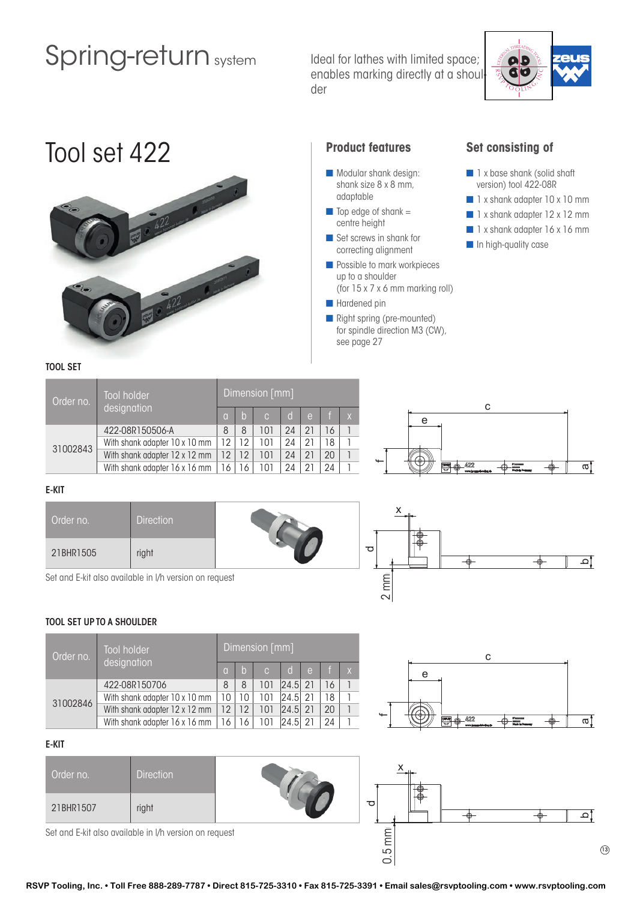Ideal for lathes with limited space; enables marking directly at a shoulder



# Tool set 422 **Product features**



- $\blacksquare$  Modular shank design: shank size 8 x 8 mm, adaptable
- $\Box$  Top edge of shank = centre height
- $\blacksquare$  Set screws in shank for correcting alignment
- **n** Possible to mark workpieces up to a shoulder (for 15 x 7 x 6 mm marking roll)
- **n** Hardened pin
- **n** Right spring (pre-mounted) for spindle direction M3 (CW), see page 27

mm  $\sim$ 

### **Set consisting of**

- n 1 x base shank (solid shaft) version) tool 422-08R
- 1 x shank adapter 10 x 10 mm
- 1 x shank adapter 12 x 12 mm
- $\blacksquare$  1 x shank adapter 16 x 16 mm
- **n** In high-quality case

### TOOL SET

| Order no. | <b>Tool holder</b>            | Dimension [mm] |    |                |              |          |    |   |  |
|-----------|-------------------------------|----------------|----|----------------|--------------|----------|----|---|--|
|           | designation                   |                | 'h | $\overline{C}$ | $\mathsf{d}$ | $\theta$ |    |   |  |
| 31002843  | 422-08R150506-A               | 8              | 8  | 101            | 24           | 21       | 16 |   |  |
|           | With shank adapter 10 x 10 mm | 12             | 12 | 101            | 24           | 21       | 18 |   |  |
|           | With shank adapter 12 x 12 mm | 12             | 12 | 101            | 24           | 21       | 20 |   |  |
|           | With shank adapter 16 x 16 mm | 16             | 16 | 101            | 24           | 21       | 24 | 1 |  |



 $\overline{\phantom{a}}$ 

### E-KIT

| Order no. | <b>Direction</b> | x |
|-----------|------------------|---|
| 21BHR1505 | right            |   |

Set and E-kit also available in l/h version on request

### TOOL SET UP TO A SHOULDER

| Order no. | Tool holder                   | Dimension [mm]  |            |               |             |    |    |  |  |
|-----------|-------------------------------|-----------------|------------|---------------|-------------|----|----|--|--|
|           | designation                   | ia.             | $\sqrt{a}$ | $\mathcal{C}$ | d           | e  |    |  |  |
| 31002846  | 422-08R150706                 | 8               | 8          | 101           | $ 24.5 $ 21 |    | 16 |  |  |
|           | With shank adapter 10 x 10 mm | 10              | 10         | 101           | 24.5        | 21 | 18 |  |  |
|           | With shank adapter 12 x 12 mm | 12 <sub>1</sub> | 12         | 101           | 24.5        |    | 20 |  |  |
|           | With shank adapter 16 x 16 mm | 16              | 16         |               | 24.5        |    | 24 |  |  |



 $(13)$ 

b

 $\overline{\bullet}$ 

### E-KIT

| Order no. | <b>Direction</b>                                       |        | ⊦⊕ |  |  |
|-----------|--------------------------------------------------------|--------|----|--|--|
| 21BHR1507 | right                                                  | ᅙ      | ⊦⊕ |  |  |
|           | Set and E-kit also available in I/h version on request | 5<br>0 |    |  |  |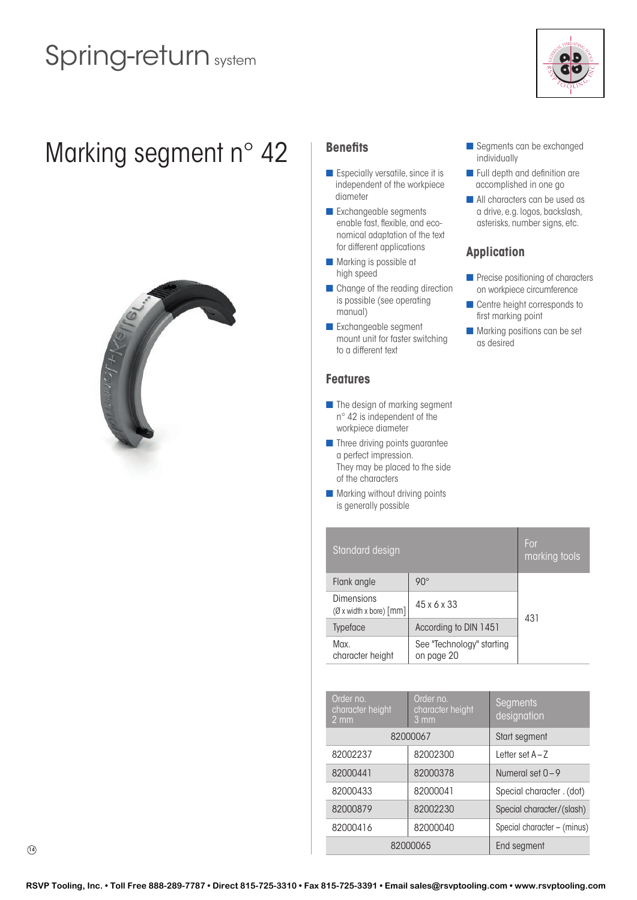

# Marking segment n° 42 | Benefits



- $\blacksquare$  Especially versatile, since it is independent of the workpiece diameter
- **n** Exchangeable segments enable fast, flexible, and economical adaptation of the text for different applications
- **n** Marking is possible at high speed
- **n** Change of the reading direction is possible (see operating manual)
- **n** Exchangeable segment mount unit for faster switching to a different text

## **Features**

- $\blacksquare$  The design of marking segment n° 42 is independent of the workpiece diameter
- **n** Three driving points guarantee a perfect impression. They may be placed to the side of the characters
- $\blacksquare$  Marking without driving points is generally possible
- segments can be exchanged individually
- **n** Full depth and definition are accomplished in one go
- **n** All characters can be used as a drive, e.g. logos, backslash, asterisks, number signs, etc.

## **Application**

- $\blacksquare$  Precise positioning of characters on workpiece circumference
- $\blacksquare$  Centre height corresponds to first marking point
- $\blacksquare$  Marking positions can be set as desired

| Standard design                                               |                                         |     |  |  |
|---------------------------------------------------------------|-----------------------------------------|-----|--|--|
| Flank angle                                                   | $90^\circ$                              |     |  |  |
| Dimensions<br>$(\emptyset$ x width x bore) $\lceil mm \rceil$ | $45 \times 6 \times 33$                 | 431 |  |  |
| <b>Typeface</b>                                               | According to DIN 1451                   |     |  |  |
| Max.<br>character height                                      | See "Technology" starting<br>on page 20 |     |  |  |

| Order no.<br>character height<br>$2 \, \text{mm}$ | Order no.<br>character height<br>$3 \, \text{mm}$ | Segments<br>designation     |  |  |  |
|---------------------------------------------------|---------------------------------------------------|-----------------------------|--|--|--|
|                                                   | 82000067                                          | Start segment               |  |  |  |
| 82002237                                          | 82002300                                          | letter set A-7              |  |  |  |
| 82000441                                          | 82000378                                          | Numeral set $0 - 9$         |  |  |  |
| 82000433                                          | 82000041                                          | Special character . (dot)   |  |  |  |
| 82000879                                          | 82002230                                          | Special character/(slash)   |  |  |  |
| 82000416                                          | 82000040                                          | Special character - (minus) |  |  |  |
| 82000065                                          | End segment                                       |                             |  |  |  |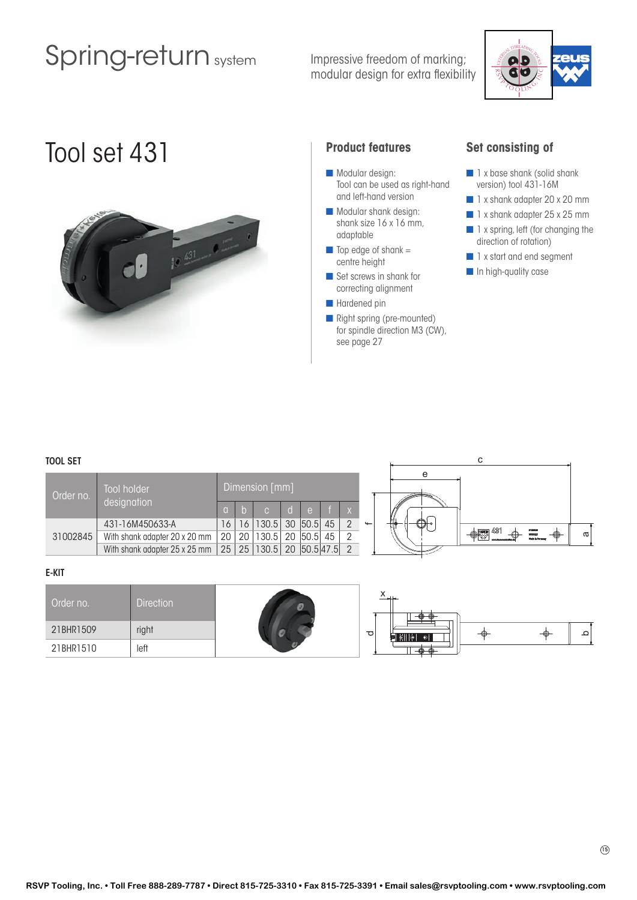Impressive freedom of marking; modular design for extra flexibility



# Tool set 431 **Product features**



- Modular design: Tool can be used as right-hand and left-hand version
- $\blacksquare$  Modular shank design: shank size 16 x 16 mm, adaptable
- $\blacksquare$  Top edge of shank = centre height
- Set screws in shank for correcting alignment
- Hardened pin
- **n** Right spring (pre-mounted) for spindle direction M3 (CW), see page 27

### **Set consisting of**

- n 1 x base shank (solid shank version) tool 431-16M
- 1 x shank adapter 20 x 20 mm
- 1 x shank adapter 25 x 25 mm
- $\blacksquare$  1 x spring, left (for changing the direction of rotation)
- n 1 x start and end segment
- **n** In high-quality case

### TOOL SET

| Order no. | Tool holder<br>designation    |          | Dimension [mm]                                                             |  |  |              |  |
|-----------|-------------------------------|----------|----------------------------------------------------------------------------|--|--|--------------|--|
|           |                               | $\Omega$ | Iblc Idle fix                                                              |  |  |              |  |
|           | 431-16M450633-A               |          | 16   16   130.5   30   50.5   45                                           |  |  | $\leftarrow$ |  |
| 31002845  | With shank adapter 20 x 20 mm |          | 20   20   130.5   20   50.5   45                                           |  |  |              |  |
|           | With shank adapter 25 x 25 mm |          | $\vert$ 25 $\vert$ 25 $\vert$ 130.5 $\vert$ 20 $\vert$ 50.5 47.5 $\vert$ 2 |  |  |              |  |



#### E-KIT

| Order no. | <b>Direction</b> |                     |    |             |   |
|-----------|------------------|---------------------|----|-------------|---|
| 21BHR1509 | right            | $\overline{\sigma}$ | -0 | $\bigoplus$ | ≏ |
| 21BHR1510 | left             |                     |    |             |   |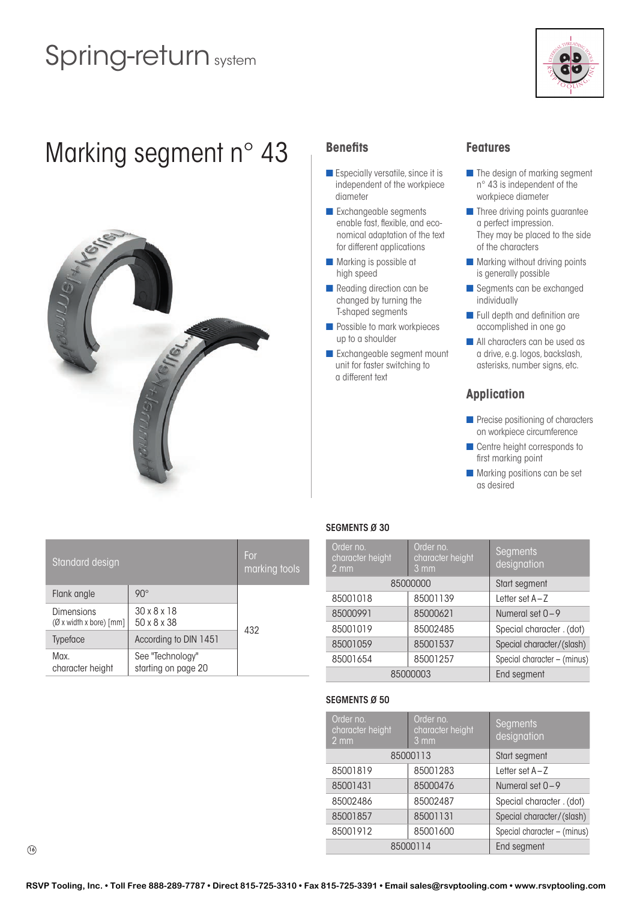

# Marking segment n° 43 Benefits



- $\blacksquare$  Especially versatile, since it is independent of the workpiece diameter
- **n** Exchangeable segments enable fast, flexible, and economical adaptation of the text for different applications
- $\blacksquare$  Marking is possible at high speed
- **n** Reading direction can be changed by turning the T-shaped segments
- **n** Possible to mark workpieces up to a shoulder
- **n** Exchangeable segment mount unit for faster switching to a different text

## **Features**

- $\blacksquare$  The design of marking segment n° 43 is independent of the workpiece diameter
- $\blacksquare$  Three driving points guarantee a perfect impression. They may be placed to the side of the characters
- $\blacksquare$  Marking without driving points is generally possible
- **n** Segments can be exchanged individually
- $\blacksquare$  Full depth and definition are accomplished in one go
- **n** All characters can be used as a drive, e.g. logos, backslash, asterisks, number signs, etc.

## **Application**

- **n** Precise positioning of characters on workpiece circumference
- Centre height corresponds to first marking point
- $\blacksquare$  Marking positions can be set as desired

| Standard design                                 |                                         | For<br>marking tools |
|-------------------------------------------------|-----------------------------------------|----------------------|
| Flank angle                                     | $90^\circ$                              |                      |
| Dimensions<br>$(\emptyset$ x width x bore) [mm] | $30 \times 8 \times 18$<br>50 x 8 x 38  | 432                  |
| <b>Typeface</b>                                 | According to DIN 1451                   |                      |
| Max.<br>character height                        | See "Technology"<br>starting on page 20 |                      |

### SEGMENTS Ø 30

| Order no.<br>character height<br>$2 \, \text{mm}$ | Order no.<br><b>Segments</b><br>character height<br>designation<br>$3 \, \text{mm}$ |                             |  |  |
|---------------------------------------------------|-------------------------------------------------------------------------------------|-----------------------------|--|--|
| 85000000                                          | Start segment                                                                       |                             |  |  |
| 85001018                                          | 85001139                                                                            | Letter set A-Z              |  |  |
| 85000991                                          | 85000621                                                                            | Numeral set $0 - 9$         |  |  |
| 85001019                                          | 85002485                                                                            | Special character . (dot)   |  |  |
| 85001059                                          | 85001537                                                                            | Special character/(slash)   |  |  |
| 85001654                                          | 85001257                                                                            | Special character - (minus) |  |  |
| 85000003                                          |                                                                                     | End segment                 |  |  |

### SEGMENTS Ø 50

| Order no.<br>character height<br>$2 \, \text{mm}$ | Order no.<br>character height<br>$3 \, \text{mm}$ | <b>Segments</b><br>designation |
|---------------------------------------------------|---------------------------------------------------|--------------------------------|
|                                                   | 85000113                                          | Start segment                  |
| 85001819                                          | 85001283                                          | Letter set $A-Z$               |
| 85001431                                          | 85000476                                          | Numeral set $0 - 9$            |
| 85002486                                          | 85002487                                          | Special character . (dot)      |
| 85001857                                          | 85001131                                          | Special character/(slash)      |
| 85001912                                          | 85001600                                          | Special character - (minus)    |
| 85000114                                          | End segment                                       |                                |